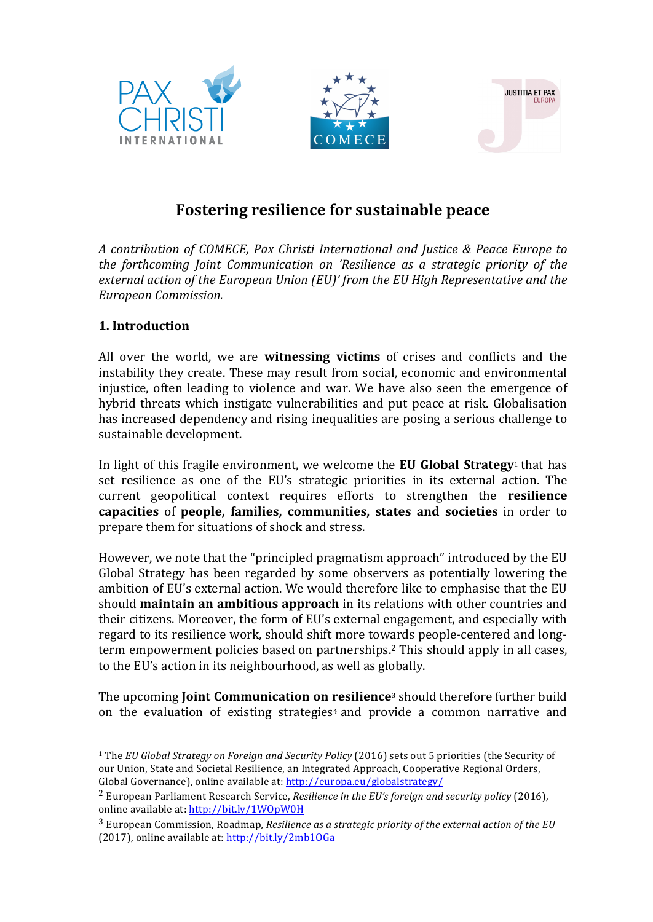





# **Fostering resilience for sustainable peace**

*A contribution of COMECE, Pax Christi International and Justice & Peace Europe to the forthcoming Joint Communication on 'Resilience as a strategic priority of the* external action of the European Union (EU)' from the EU High Representative and the *European Commission.* 

## **1. Introduction**

 

All over the world, we are **witnessing victims** of crises and conflicts and the instability they create. These may result from social, economic and environmental injustice, often leading to violence and war. We have also seen the emergence of hybrid threats which instigate vulnerabilities and put peace at risk. Globalisation has increased dependency and rising inequalities are posing a serious challenge to sustainable development.

In light of this fragile environment, we welcome the **EU Global Strategy**<sup>1</sup> that has set resilience as one of the EU's strategic priorities in its external action. The current geopolitical context requires efforts to strengthen the **resilience** capacities of people, families, communities, states and societies in order to prepare them for situations of shock and stress.

However, we note that the "principled pragmatism approach" introduced by the EU Global Strategy has been regarded by some observers as potentially lowering the ambition of EU's external action. We would therefore like to emphasise that the EU should **maintain an ambitious approach** in its relations with other countries and their citizens. Moreover, the form of EU's external engagement, and especially with regard to its resilience work, should shift more towards people-centered and longterm empowerment policies based on partnerships.<sup>2</sup> This should apply in all cases, to the EU's action in its neighbourhood, as well as globally.

The upcoming **Joint Communication on resilience**<sup>3</sup> should therefore further build on the evaluation of existing strategies<sup>4</sup> and provide a common narrative and

<sup>&</sup>lt;sup>1</sup> The *EU* Global Strategy on Foreign and Security Policy (2016) sets out 5 priorities (the Security of our Union, State and Societal Resilience, an Integrated Approach, Cooperative Regional Orders, Global Governance), online available at: http://europa.eu/globalstrategy/

<sup>&</sup>lt;sup>2</sup> European Parliament Research Service, *Resilience in the EU's foreign and security policy* (2016), online available at: http://bit.ly/1WOpW0H

<sup>&</sup>lt;sup>3</sup> European Commission, Roadmap, *Resilience as a strategic priority of the external action of the EU* (2017), online available at: http://bit.ly/2mb1OGa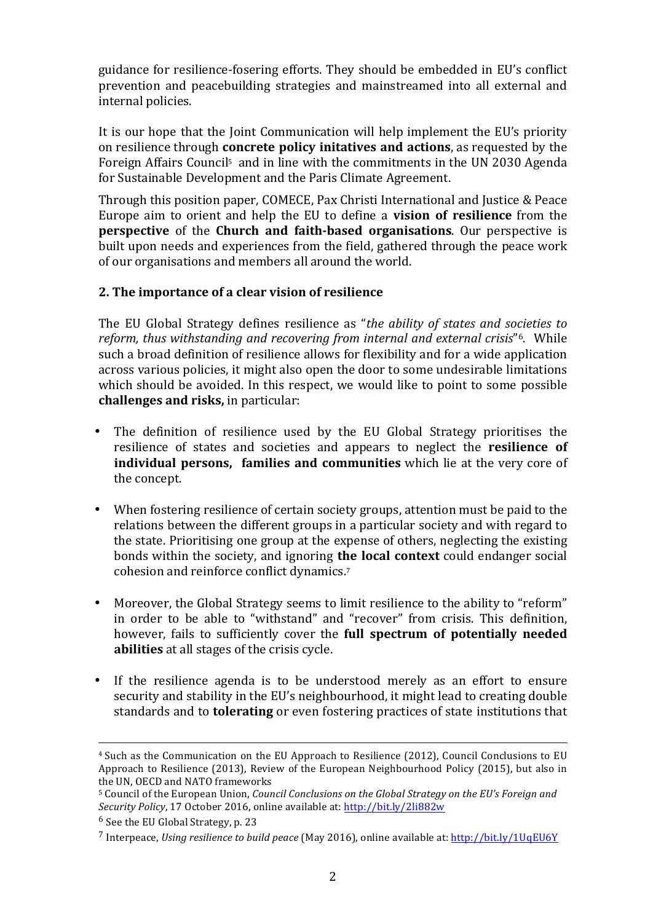guidance for resilience-fosering efforts. They should be embedded in EU's conflict prevention and peacebuilding strategies and mainstreamed into all external and internal policies.

It is our hope that the Joint Communication will help implement the EU's priority on resilience through **concrete policy initatives and actions**, as requested by the Foreign Affairs Council<sup>5</sup> and in line with the commitments in the UN 2030 Agenda for Sustainable Development and the Paris Climate Agreement.

Through this position paper, COMECE, Pax Christi International and Justice & Peace Europe aim to orient and help the EU to define a **vision of resilience** from the **perspective** of the **Church and faith-based organisations**. Our perspective is built upon needs and experiences from the field, gathered through the peace work of our organisations and members all around the world.

### **2.** The importance of a clear vision of resilience

The EU Global Strategy defines resilience as "*the ability of states and societies to reform, thus withstanding and recovering from internal and external crisis*"<sup>6</sup>. While such a broad definition of resilience allows for flexibility and for a wide application across various policies, it might also open the door to some undesirable limitations which should be avoided. In this respect, we would like to point to some possible **challenges and risks, in particular:** 

- The definition of resilience used by the EU Global Strategy prioritises the resilience of states and societies and appears to neglect the **resilience of individual persons, families and communities** which lie at the very core of the concept.
- When fostering resilience of certain society groups, attention must be paid to the relations between the different groups in a particular society and with regard to the state. Prioritising one group at the expense of others, neglecting the existing bonds within the society, and ignoring **the local context** could endanger social cohesion and reinforce conflict dynamics.<sup>7</sup>
- Moreover, the Global Strategy seems to limit resilience to the ability to "reform" in order to be able to "withstand" and "recover" from crisis. This definition, however, fails to sufficiently cover the **full spectrum of potentially needed abilities** at all stages of the crisis cycle.
- If the resilience agenda is to be understood merely as an effort to ensure security and stability in the EU's neighbourhood, it might lead to creating double standards and to **tolerating** or even fostering practices of state institutions that

<u> 1989 - Andrea Santa Andrea Andrea Andrea Andrea Andrea Andrea Andrea Andrea Andrea Andrea Andrea Andrea Andr</u>

 $6$  See the EU Global Strategy, p. 23

<sup>&</sup>lt;sup>4</sup> Such as the Communication on the EU Approach to Resilience (2012), Council Conclusions to EU Approach to Resilience (2013), Review of the European Neighbourhood Policy (2015), but also in the UN, OECD and NATO frameworks

<sup>&</sup>lt;sup>5</sup> Council of the European Union, *Council Conclusions on the Global Strategy on the EU's Foreign and Security Policy*, 17 October 2016, online available at: http://bit.ly/2li882w

<sup>&</sup>lt;sup>7</sup> Interpeace, *Using resilience to build peace* (May 2016), online available at: http://bit.ly/1UqEU6Y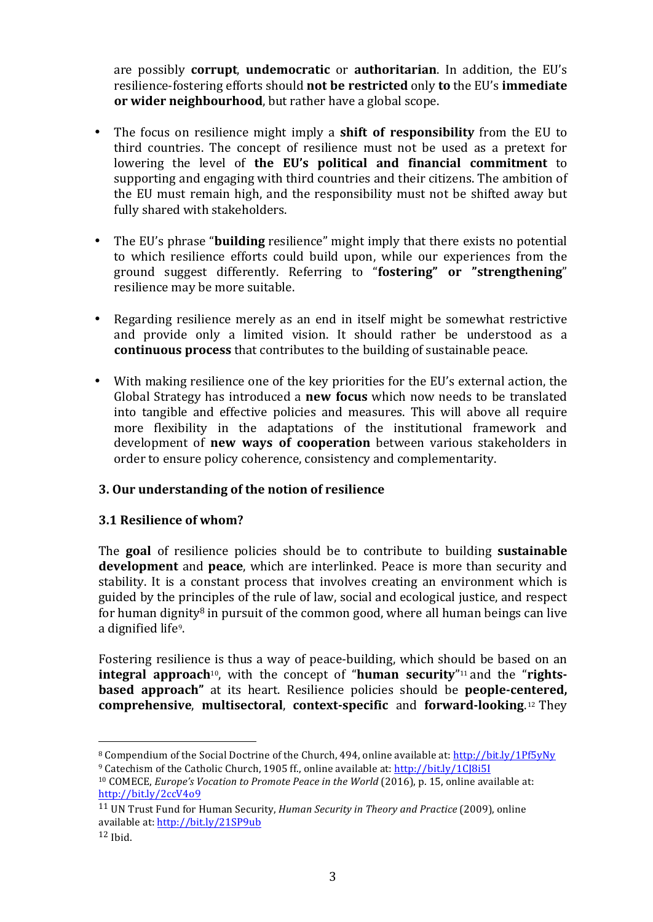are possibly **corrupt**, **undemocratic** or **authoritarian**. In addition, the EU's resilience-fostering efforts should **not be restricted** only **to** the EU's **immediate or** wider neighbourhood, but rather have a global scope.

- The focus on resilience might imply a **shift of responsibility** from the EU to third countries. The concept of resilience must not be used as a pretext for lowering the level of **the EU's political and financial commitment** to supporting and engaging with third countries and their citizens. The ambition of the EU must remain high, and the responsibility must not be shifted away but fully shared with stakeholders.
- The EU's phrase "**building** resilience" might imply that there exists no potential to which resilience efforts could build upon, while our experiences from the ground suggest differently. Referring to "fostering" or "strengthening" resilience may be more suitable.
- Regarding resilience merely as an end in itself might be somewhat restrictive and provide only a limited vision. It should rather be understood as a **continuous process** that contributes to the building of sustainable peace.
- With making resilience one of the key priorities for the EU's external action, the Global Strategy has introduced a **new focus** which now needs to be translated into tangible and effective policies and measures. This will above all require more flexibility in the adaptations of the institutional framework and development of **new ways of cooperation** between various stakeholders in order to ensure policy coherence, consistency and complementarity.

## **3. Our understanding of the notion of resilience**

#### **3.1 Resilience of whom?**

 

The **goal** of resilience policies should be to contribute to building **sustainable development** and **peace**, which are interlinked. Peace is more than security and stability. It is a constant process that involves creating an environment which is guided by the principles of the rule of law, social and ecological justice, and respect for human dignity<sup>8</sup> in pursuit of the common good, where all human beings can live a dignified life<sup>9</sup>.

Fostering resilience is thus a way of peace-building, which should be based on an **integral approach**<sup>10</sup>, with the concept of "**human security**"<sup>11</sup> and the "**rightsbased approach**" at its heart. Resilience policies should be **people-centered**, **comprehensive, multisectoral, context-specific and forward-looking.<sup>12</sup> They** 

<sup>&</sup>lt;sup>8</sup> Compendium of the Social Doctrine of the Church, 494, online available at: http://bit.ly/1Pf5yNy <sup>9</sup> Catechism of the Catholic Church, 1905 ff., online available at: http://bit.ly/1C[8i5I

<sup>&</sup>lt;sup>10</sup> COMECE, *Europe's Vocation to Promote Peace in the World* (2016), p. 15, online available at: http://bit.ly/2ccV4o9

<sup>&</sup>lt;sup>11</sup> UN Trust Fund for Human Security, *Human Security in Theory and Practice* (2009), online available at: http://bit.ly/21SP9ub

 $12$  Ibid.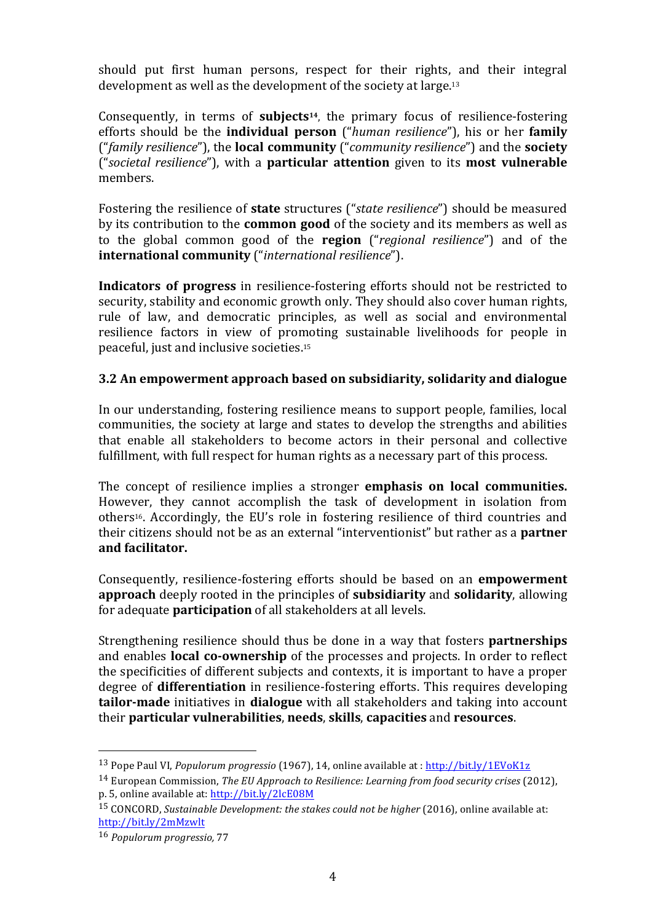should put first human persons, respect for their rights, and their integral development as well as the development of the society at large.<sup>13</sup>

Consequently, in terms of **subjects**<sup>14</sup>, the primary focus of resilience-fostering efforts should be the **individual person** ("*human resilience*"), his or her **family** ("*family resilience*"), the **local community** ("*community resilience*") and the **society** ("societal resilience"), with a **particular attention** given to its **most vulnerable** members.

Fostering the resilience of **state** structures ("*state resilience*") should be measured by its contribution to the **common good** of the society and its members as well as to the global common good of the **region** ("*regional resilience*") and of the **international community** ("*international resilience*").

**Indicators of progress** in resilience-fostering efforts should not be restricted to security, stability and economic growth only. They should also cover human rights, rule of law, and democratic principles, as well as social and environmental resilience factors in view of promoting sustainable livelihoods for people in peaceful, just and inclusive societies.<sup>15</sup>

### **3.2** An empowerment approach based on subsidiarity, solidarity and dialogue

In our understanding, fostering resilience means to support people, families, local communities, the society at large and states to develop the strengths and abilities that enable all stakeholders to become actors in their personal and collective fulfillment, with full respect for human rights as a necessary part of this process.

The concept of resilience implies a stronger **emphasis on local communities.** However, they cannot accomplish the task of development in isolation from others<sup>16</sup>. Accordingly, the EU's role in fostering resilience of third countries and their citizens should not be as an external "interventionist" but rather as a **partner and facilitator.**

Consequently, resilience-fostering efforts should be based on an **empowerment approach** deeply rooted in the principles of **subsidiarity** and **solidarity**, allowing for adequate **participation** of all stakeholders at all levels.

Strengthening resilience should thus be done in a way that fosters **partnerships** and enables **local co-ownership** of the processes and projects. In order to reflect the specificities of different subjects and contexts, it is important to have a proper degree of **differentiation** in resilience-fostering efforts. This requires developing **tailor-made** initiatives in **dialogue** with all stakeholders and taking into account their **particular vulnerabilities**, **needs**, **skills**, **capacities** and **resources**. 

 

<sup>&</sup>lt;sup>13</sup> Pope Paul VI, *Populorum progressio* (1967), 14, online available at : http://bit.ly/1EVoK1z

<sup>&</sup>lt;sup>14</sup> European Commission, *The EU Approach to Resilience: Learning from food security crises* (2012), p. 5, online available at: http://bit.ly/2lcE08M

<sup>&</sup>lt;sup>15</sup> CONCORD, *Sustainable Development: the stakes could not be higher* (2016), online available at: http://bit.ly/2mMzwlt

<sup>16</sup> *Populorum progressio*, 77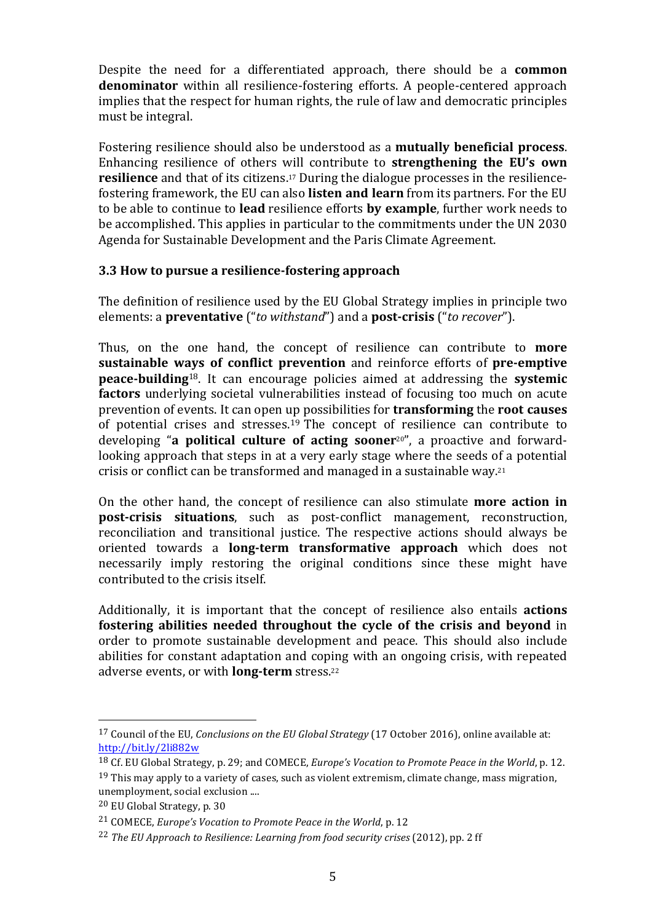Despite the need for a differentiated approach, there should be a **common denominator** within all resilience-fostering efforts. A people-centered approach implies that the respect for human rights, the rule of law and democratic principles must be integral.

Fostering resilience should also be understood as a **mutually beneficial process**. Enhancing resilience of others will contribute to **strengthening the EU's own resilience** and that of its citizens.<sup>17</sup> During the dialogue processes in the resiliencefostering framework, the EU can also **listen and learn** from its partners. For the EU to be able to continue to **lead** resilience efforts **by example**, further work needs to be accomplished. This applies in particular to the commitments under the UN 2030 Agenda for Sustainable Development and the Paris Climate Agreement.

### **3.3 How to pursue a resilience-fostering approach**

The definition of resilience used by the EU Global Strategy implies in principle two elements: a **preventative** ("*to withstand*") and a **post-crisis** ("*to recover*").

Thus, on the one hand, the concept of resilience can contribute to **more sustainable ways of conflict prevention** and reinforce efforts of **pre-emptive peace-building**<sup>18</sup>. It can encourage policies aimed at addressing the **systemic factors** underlying societal vulnerabilities instead of focusing too much on acute prevention of events. It can open up possibilities for **transforming** the **root causes** of potential crises and stresses.<sup>19</sup> The concept of resilience can contribute to developing "a **political culture of acting sooner**<sup>20"</sup>, a proactive and forwardlooking approach that steps in at a very early stage where the seeds of a potential crisis or conflict can be transformed and managed in a sustainable way.<sup>21</sup>

On the other hand, the concept of resilience can also stimulate **more action in post-crisis situations**, such as post-conflict management, reconstruction, reconciliation and transitional justice. The respective actions should always be oriented towards a **long-term transformative approach** which does not necessarily imply restoring the original conditions since these might have contributed to the crisis itself.

Additionally, it is important that the concept of resilience also entails **actions fostering abilities needed throughout the cycle of the crisis and beyond in** order to promote sustainable development and peace. This should also include abilities for constant adaptation and coping with an ongoing crisis, with repeated adverse events, or with **long-term** stress.<sup>22</sup>

 

<sup>&</sup>lt;sup>17</sup> Council of the EU, *Conclusions on the EU Global Strategy* (17 October 2016), online available at: http://bit.ly/2li882w

<sup>&</sup>lt;sup>18</sup> Cf. EU Global Strategy, p. 29; and COMECE, *Europe's Vocation to Promote Peace in the World*, p. 12.  $19$  This mav apply to a variety of cases, such as violent extremism, climate change, mass migration, unemployment, social exclusion ....

<sup>&</sup>lt;sup>20</sup> EU Global Strategy, p. 30

<sup>&</sup>lt;sup>21</sup> COMECE, *Europe's Vocation to Promote Peace in the World*, p. 12

<sup>&</sup>lt;sup>22</sup> *The EU Approach to Resilience: Learning from food security crises* (2012), pp. 2 ff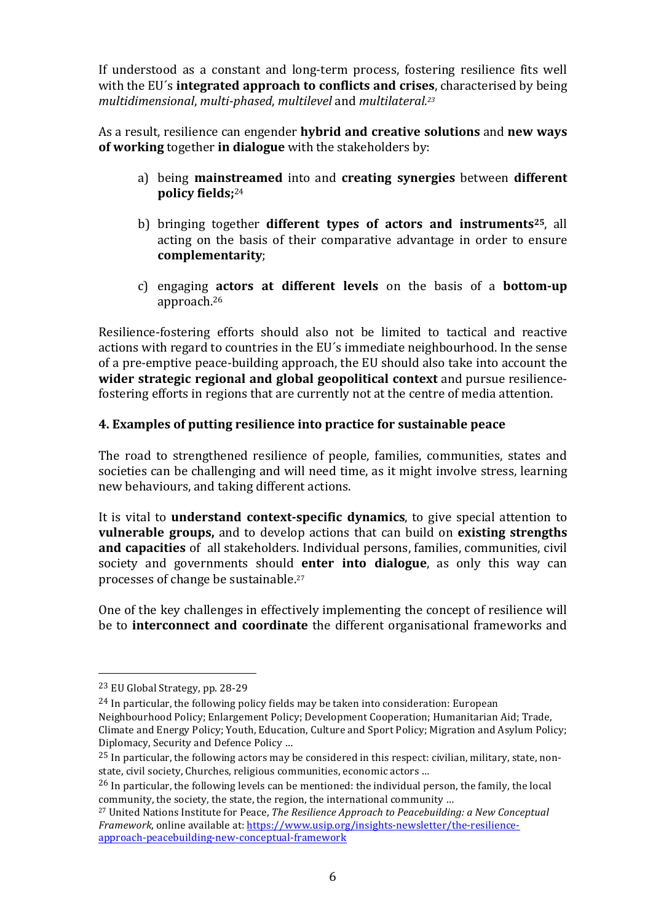If understood as a constant and long-term process, fostering resilience fits well with the EU's **integrated approach to conflicts and crises**, characterised by being *multidimensional, multi-phased, multilevel and multilateral.<sup>23</sup>* 

As a result, resilience can engender **hybrid and creative solutions** and **new ways of working** together **in dialogue** with the stakeholders by:

- a) being **mainstreamed** into and **creating synergies** between **different policy fields;**<sup>24</sup>
- b) bringing together **different types of actors and instruments**<sup>25</sup>, all acting on the basis of their comparative advantage in order to ensure **complementarity**;
- c) engaging **actors** at different levels on the basis of a **bottom-up** approach. 26

Resilience-fostering efforts should also not be limited to tactical and reactive actions with regard to countries in the EU's immediate neighbourhood. In the sense of a pre-emptive peace-building approach, the EU should also take into account the **wider strategic regional and global geopolitical context** and pursue resiliencefostering efforts in regions that are currently not at the centre of media attention.

## **4.** Examples of putting resilience into practice for sustainable peace

The road to strengthened resilience of people, families, communities, states and societies can be challenging and will need time, as it might involve stress, learning new behaviours, and taking different actions.

It is vital to **understand context-specific dynamics**, to give special attention to **vulnerable groups,** and to develop actions that can build on **existing strengths** and capacities of all stakeholders. Individual persons, families, communities, civil society and governments should **enter into dialogue**, as only this way can processes of change be sustainable.<sup>27</sup>

One of the key challenges in effectively implementing the concept of resilience will be to **interconnect and coordinate** the different organisational frameworks and

 <sup>23</sup> EU Global Strategy, pp. 28-29

 $24$  In particular, the following policy fields may be taken into consideration: European Neighbourhood Policy; Enlargement Policy; Development Cooperation; Humanitarian Aid; Trade, Climate and Energy Policy; Youth, Education, Culture and Sport Policy; Migration and Asylum Policy; Diplomacy, Security and Defence Policy ...

 $25$  In particular, the following actors may be considered in this respect: civilian, military, state, nonstate, civil society, Churches, religious communities, economic actors ...

 $26$  In particular, the following levels can be mentioned: the individual person, the family, the local community, the society, the state, the region, the international community ...

<sup>&</sup>lt;sup>27</sup> United Nations Institute for Peace, *The Resilience Approach to Peacebuilding: a New Conceptual Framework*, online available at: https://www.usip.org/insights-newsletter/the-resilienceapproach-peacebuilding-new-conceptual-framework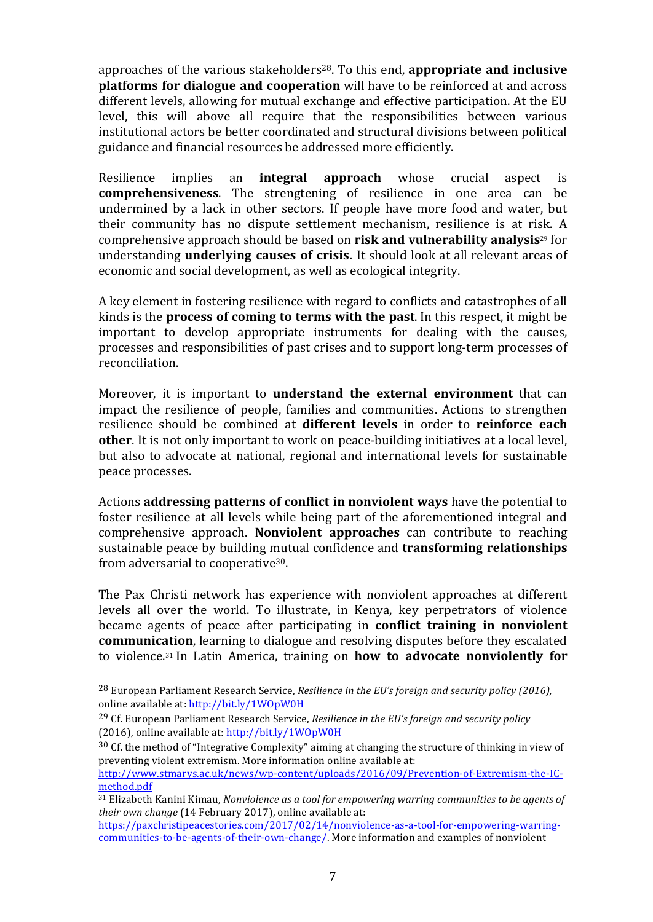approaches of the various stakeholders<sup>28</sup>. To this end, **appropriate and inclusive platforms for dialogue and cooperation** will have to be reinforced at and across different levels, allowing for mutual exchange and effective participation. At the EU level, this will above all require that the responsibilities between various institutional actors be better coordinated and structural divisions between political guidance and financial resources be addressed more efficiently.

Resilience implies an **integral approach** whose crucial aspect is **comprehensiveness**. The strengtening of resilience in one area can be undermined by a lack in other sectors. If people have more food and water, but their community has no dispute settlement mechanism, resilience is at risk. A comprehensive approach should be based on **risk and vulnerability analysis**<sup>29</sup> for understanding **underlying causes of crisis.** It should look at all relevant areas of economic and social development, as well as ecological integrity.

A key element in fostering resilience with regard to conflicts and catastrophes of all kinds is the **process of coming to terms with the past**. In this respect, it might be important to develop appropriate instruments for dealing with the causes, processes and responsibilities of past crises and to support long-term processes of reconciliation. 

Moreover, it is important to **understand the external environment** that can impact the resilience of people, families and communities. Actions to strengthen resilience should be combined at **different levels** in order to **reinforce each other**. It is not only important to work on peace-building initiatives at a local level, but also to advocate at national, regional and international levels for sustainable peace processes.

Actions **addressing patterns of conflict in nonviolent ways** have the potential to foster resilience at all levels while being part of the aforementioned integral and comprehensive approach. **Nonviolent approaches** can contribute to reaching sustainable peace by building mutual confidence and **transforming relationships** from adversarial to cooperative $30$ .

The Pax Christi network has experience with nonviolent approaches at different levels all over the world. To illustrate, in Kenya, key perpetrators of violence became agents of peace after participating in **conflict training in nonviolent communication**, learning to dialogue and resolving disputes before they escalated to violence.<sup>31</sup> In Latin America, training on **how to advocate nonviolently for** 

 

<sup>&</sup>lt;sup>28</sup> European Parliament Research Service, *Resilience in the EU's foreign and security policy (2016)*, online available at: http://bit.ly/1WOpW0H

<sup>&</sup>lt;sup>29</sup> Cf. European Parliament Research Service, *Resilience in the EU's foreign and security policy* (2016), online available at: http://bit.ly/1WOpW0H

 $30$  Cf. the method of "Integrative Complexity" aiming at changing the structure of thinking in view of preventing violent extremism. More information online available at:

http://www.stmarys.ac.uk/news/wp-content/uploads/2016/09/Prevention-of-Extremism-the-ICmethod.pdf 

<sup>&</sup>lt;sup>31</sup> Elizabeth Kanini Kimau, *Nonviolence as a tool for empowering warring communities to be agents of their* own change (14 February 2017), online available at:

https://paxchristipeacestories.com/2017/02/14/nonviolence-as-a-tool-for-empowering-warringcommunities-to-be-agents-of-their-own-change/. More information and examples of nonviolent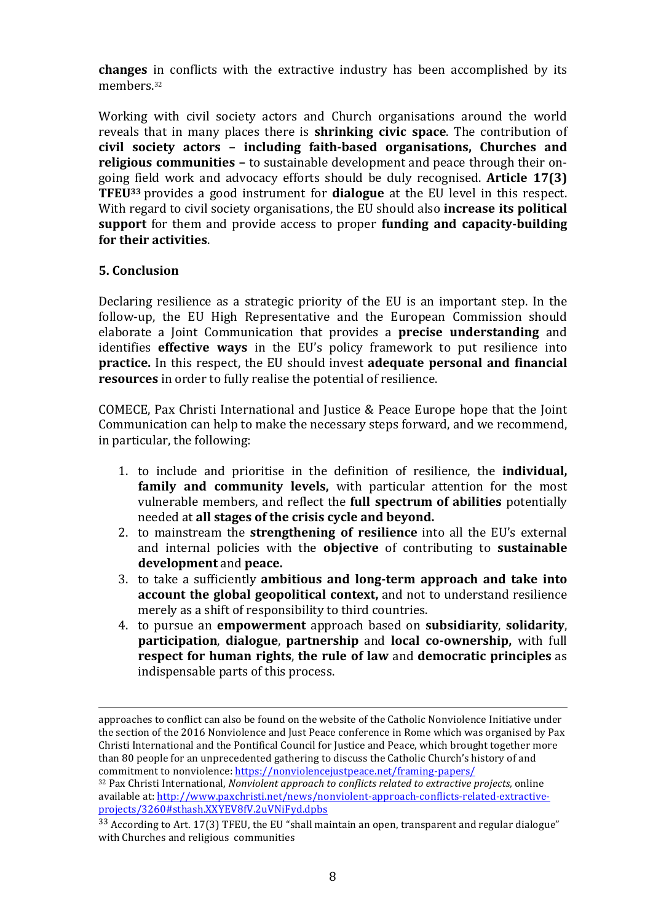**changes** in conflicts with the extractive industry has been accomplished by its members.32

Working with civil society actors and Church organisations around the world reveals that in many places there is **shrinking civic space**. The contribution of **civil society actors – including faith-based organisations, Churches and religious communities** - to sustainable development and peace through their ongoing field work and advocacy efforts should be duly recognised. **Article 17(3) TFEU**33 provides a good instrument for **dialogue** at the EU level in this respect. With regard to civil society organisations, the EU should also **increase its political support** for them and provide access to proper **funding and capacity-building for their activities**.

### **5. Conclusion**

Declaring resilience as a strategic priority of the EU is an important step. In the follow-up, the EU High Representative and the European Commission should elaborate a Joint Communication that provides a **precise understanding** and identifies **effective ways** in the EU's policy framework to put resilience into **practice.** In this respect, the EU should invest adequate personal and financial **resources** in order to fully realise the potential of resilience.

COMECE, Pax Christi International and Justice & Peace Europe hope that the Joint Communication can help to make the necessary steps forward, and we recommend, in particular, the following:

- 1. to include and prioritise in the definition of resilience, the **individual**, **family** and community levels, with particular attention for the most vulnerable members, and reflect the **full spectrum of abilities** potentially needed at **all stages of the crisis cycle and beyond.**
- 2. to mainstream the **strengthening of resilience** into all the EU's external and internal policies with the **objective** of contributing to **sustainable** development and peace.
- 3. to take a sufficiently **ambitious** and **long-term approach** and **take** into **account the global geopolitical context,** and not to understand resilience merely as a shift of responsibility to third countries.
- 4. to pursue an **empowerment** approach based on **subsidiarity**, **solidarity**, **participation, dialogue, partnership** and **local co-ownership**, with full **respect for human rights, the rule of law and democratic principles** as indispensable parts of this process.

<u> 1989 - Johann Stein, marwolaethau a bhann an chomhair an chomhair an chomhair an chomhair an chomhair an chom</u>

approaches to conflict can also be found on the website of the Catholic Nonviolence Initiative under the section of the 2016 Nonviolence and Just Peace conference in Rome which was organised by Pax Christi International and the Pontifical Council for Justice and Peace, which brought together more than 80 people for an unprecedented gathering to discuss the Catholic Church's history of and commitment to nonviolence: https://nonviolencejustpeace.net/framing-papers/

<sup>&</sup>lt;sup>32</sup> Pax Christi International, *Nonviolent approach to conflicts related to extractive projects*, online available at: http://www.paxchristi.net/news/nonviolent-approach-conflicts-related-extractiveprojects/3260#sthash.XXYEV8fV.2uVNiFyd.dpbs

<sup>&</sup>lt;sup>33</sup> According to Art. 17(3) TFEU, the EU "shall maintain an open, transparent and regular dialogue" with Churches and religious communities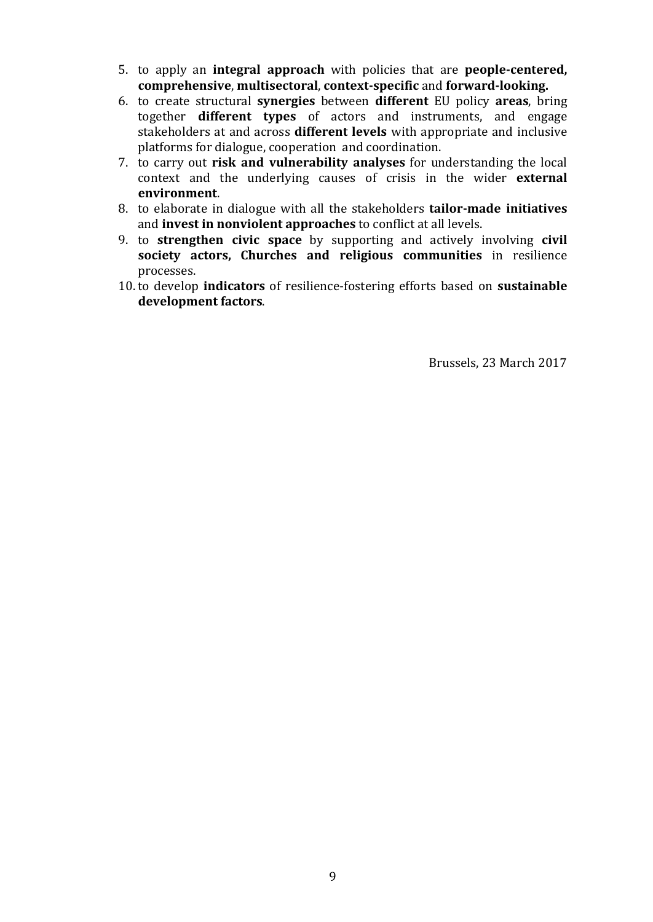- 5. to apply an **integral approach** with policies that are **people-centered, comprehensive, multisectoral, context-specific and forward-looking.**
- 6. to create structural **synergies** between **different** EU policy **areas**, bring together **different types** of actors and instruments, and engage stakeholders at and across **different levels** with appropriate and inclusive platforms for dialogue, cooperation and coordination.
- 7. to carry out **risk and vulnerability analyses** for understanding the local context and the underlying causes of crisis in the wider **external environment**.
- 8. to elaborate in dialogue with all the stakeholders **tailor-made initiatives** and **invest in nonviolent approaches** to conflict at all levels.
- 9. to **strengthen civic space** by supporting and actively involving **civil society actors, Churches and religious communities** in resilience processes.
- 10. to develop *indicators* of resilience-fostering efforts based on **sustainable development factors**.

Brussels, 23 March 2017